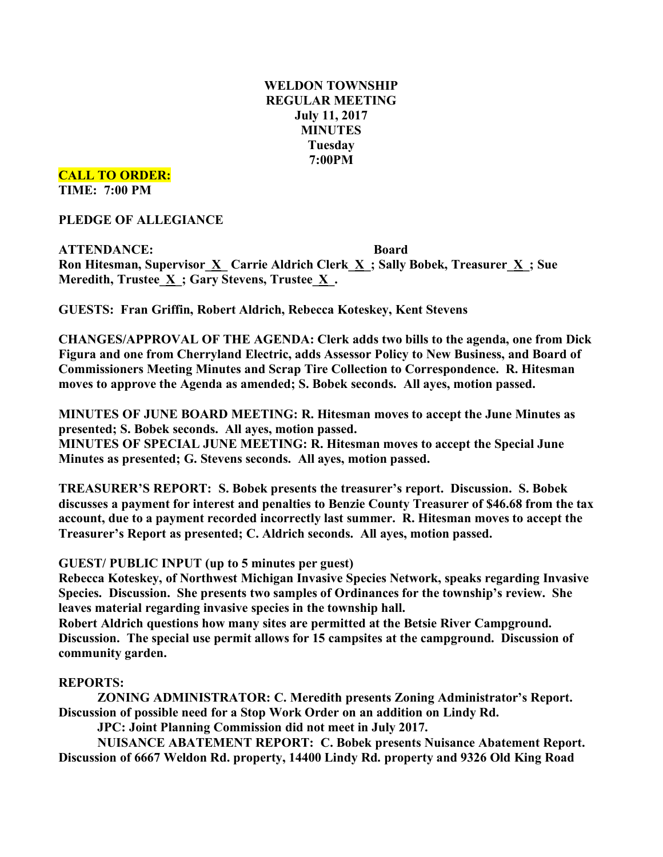## **WELDON TOWNSHIP REGULAR MEETING July 11, 2017 MINUTES Tuesday 7:00PM**

### **CALL TO ORDER: TIME: 7:00 PM**

**PLEDGE OF ALLEGIANCE**

**ATTENDANCE: Board Ron Hitesman, Supervisor\_X\_ Carrie Aldrich Clerk\_X\_; Sally Bobek, Treasurer\_X\_; Sue Meredith, Trustee**  $\underline{X}$ **; Gary Stevens, Trustee**  $\underline{X}$ **.** 

**GUESTS: Fran Griffin, Robert Aldrich, Rebecca Koteskey, Kent Stevens**

**CHANGES/APPROVAL OF THE AGENDA: Clerk adds two bills to the agenda, one from Dick Figura and one from Cherryland Electric, adds Assessor Policy to New Business, and Board of Commissioners Meeting Minutes and Scrap Tire Collection to Correspondence. R. Hitesman moves to approve the Agenda as amended; S. Bobek seconds. All ayes, motion passed.**

**MINUTES OF JUNE BOARD MEETING: R. Hitesman moves to accept the June Minutes as presented; S. Bobek seconds. All ayes, motion passed.**

**MINUTES OF SPECIAL JUNE MEETING: R. Hitesman moves to accept the Special June Minutes as presented; G. Stevens seconds. All ayes, motion passed.**

**TREASURER'S REPORT: S. Bobek presents the treasurer's report. Discussion. S. Bobek discusses a payment for interest and penalties to Benzie County Treasurer of \$46.68 from the tax account, due to a payment recorded incorrectly last summer. R. Hitesman moves to accept the Treasurer's Report as presented; C. Aldrich seconds. All ayes, motion passed.**

**GUEST/ PUBLIC INPUT (up to 5 minutes per guest)**

**Rebecca Koteskey, of Northwest Michigan Invasive Species Network, speaks regarding Invasive Species. Discussion. She presents two samples of Ordinances for the township's review. She leaves material regarding invasive species in the township hall.**

**Robert Aldrich questions how many sites are permitted at the Betsie River Campground. Discussion. The special use permit allows for 15 campsites at the campground. Discussion of community garden.**

# **REPORTS:**

**ZONING ADMINISTRATOR: C. Meredith presents Zoning Administrator's Report. Discussion of possible need for a Stop Work Order on an addition on Lindy Rd.**

**JPC: Joint Planning Commission did not meet in July 2017.**

**NUISANCE ABATEMENT REPORT: C. Bobek presents Nuisance Abatement Report. Discussion of 6667 Weldon Rd. property, 14400 Lindy Rd. property and 9326 Old King Road**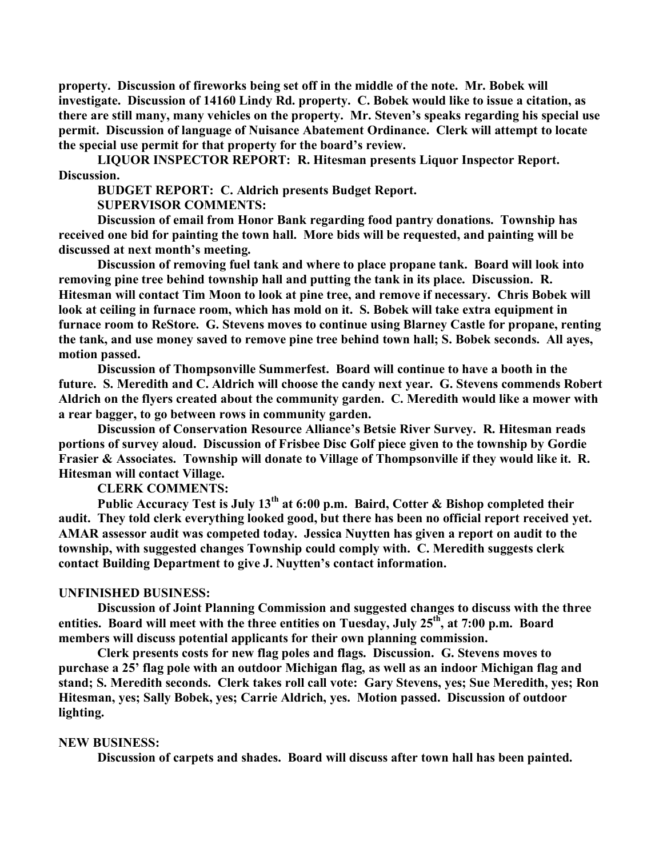**property. Discussion of fireworks being set off in the middle of the note. Mr. Bobek will investigate. Discussion of 14160 Lindy Rd. property. C. Bobek would like to issue a citation, as there are still many, many vehicles on the property. Mr. Steven's speaks regarding his special use permit. Discussion of language of Nuisance Abatement Ordinance. Clerk will attempt to locate the special use permit for that property for the board's review.**

**LIQUOR INSPECTOR REPORT: R. Hitesman presents Liquor Inspector Report. Discussion.**

**BUDGET REPORT: C. Aldrich presents Budget Report.**

**SUPERVISOR COMMENTS:**

**Discussion of email from Honor Bank regarding food pantry donations. Township has received one bid for painting the town hall. More bids will be requested, and painting will be discussed at next month's meeting.**

**Discussion of removing fuel tank and where to place propane tank. Board will look into removing pine tree behind township hall and putting the tank in its place. Discussion. R. Hitesman will contact Tim Moon to look at pine tree, and remove if necessary. Chris Bobek will look at ceiling in furnace room, which has mold on it. S. Bobek will take extra equipment in furnace room to ReStore. G. Stevens moves to continue using Blarney Castle for propane, renting the tank, and use money saved to remove pine tree behind town hall; S. Bobek seconds. All ayes, motion passed.**

**Discussion of Thompsonville Summerfest. Board will continue to have a booth in the future. S. Meredith and C. Aldrich will choose the candy next year. G. Stevens commends Robert Aldrich on the flyers created about the community garden. C. Meredith would like a mower with a rear bagger, to go between rows in community garden.**

**Discussion of Conservation Resource Alliance's Betsie River Survey. R. Hitesman reads portions of survey aloud. Discussion of Frisbee Disc Golf piece given to the township by Gordie Frasier & Associates. Township will donate to Village of Thompsonville if they would like it. R. Hitesman will contact Village.**

**CLERK COMMENTS:**

**Public Accuracy Test is July 13th at 6:00 p.m. Baird, Cotter & Bishop completed their audit. They told clerk everything looked good, but there has been no official report received yet. AMAR assessor audit was competed today. Jessica Nuytten has given a report on audit to the township, with suggested changes Township could comply with. C. Meredith suggests clerk contact Building Department to give J. Nuytten's contact information.**

#### **UNFINISHED BUSINESS:**

**Discussion of Joint Planning Commission and suggested changes to discuss with the three entities. Board will meet with the three entities on Tuesday, July 25th, at 7:00 p.m. Board members will discuss potential applicants for their own planning commission.**

**Clerk presents costs for new flag poles and flags. Discussion. G. Stevens moves to purchase a 25' flag pole with an outdoor Michigan flag, as well as an indoor Michigan flag and stand; S. Meredith seconds. Clerk takes roll call vote: Gary Stevens, yes; Sue Meredith, yes; Ron Hitesman, yes; Sally Bobek, yes; Carrie Aldrich, yes. Motion passed. Discussion of outdoor lighting.**

#### **NEW BUSINESS:**

**Discussion of carpets and shades. Board will discuss after town hall has been painted.**